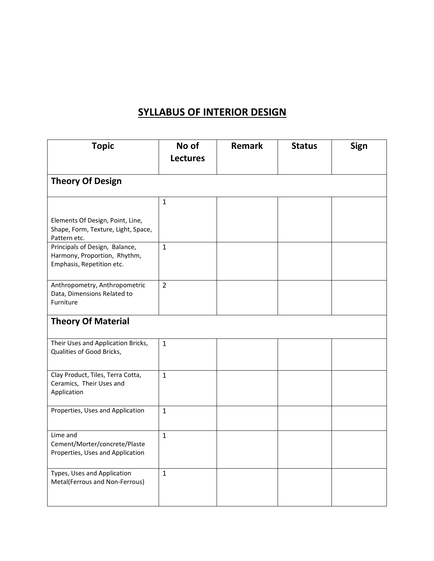#### **SYLLABUS OF INTERIOR DESIGN**

| <b>Topic</b>                                                                                | No of<br><b>Lectures</b> | <b>Remark</b> | <b>Status</b> | <b>Sign</b> |
|---------------------------------------------------------------------------------------------|--------------------------|---------------|---------------|-------------|
| <b>Theory Of Design</b>                                                                     |                          |               |               |             |
|                                                                                             | $\mathbf{1}$             |               |               |             |
| Elements Of Design, Point, Line,<br>Shape, Form, Texture, Light, Space,<br>Pattern etc.     |                          |               |               |             |
| Principals of Design, Balance,<br>Harmony, Proportion, Rhythm,<br>Emphasis, Repetition etc. | $\mathbf{1}$             |               |               |             |
| Anthropometry, Anthropometric<br>Data, Dimensions Related to<br>Furniture                   | $\overline{2}$           |               |               |             |
| <b>Theory Of Material</b>                                                                   |                          |               |               |             |
| Their Uses and Application Bricks,<br>Qualities of Good Bricks,                             | $\mathbf{1}$             |               |               |             |
| Clay Product, Tiles, Terra Cotta,<br>Ceramics, Their Uses and<br>Application                | $\mathbf{1}$             |               |               |             |
| Properties, Uses and Application                                                            | $\mathbf{1}$             |               |               |             |
| Lime and<br>Cement/Morter/concrete/Plaste<br>Properties, Uses and Application               | $\mathbf{1}$             |               |               |             |
| Types, Uses and Application<br>Metal(Ferrous and Non-Ferrous)                               | $\mathbf{1}$             |               |               |             |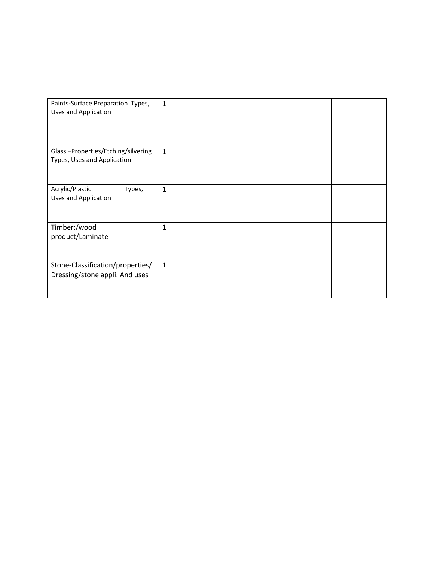| Paints-Surface Preparation Types,<br>Uses and Application          | $\mathbf{1}$ |  |  |
|--------------------------------------------------------------------|--------------|--|--|
| Glass-Properties/Etching/silvering<br>Types, Uses and Application  | $\mathbf{1}$ |  |  |
| Acrylic/Plastic<br>Types,<br>Uses and Application                  | $\mathbf{1}$ |  |  |
| Timber:/wood<br>product/Laminate                                   | $\mathbf{1}$ |  |  |
| Stone-Classification/properties/<br>Dressing/stone appli. And uses | $\mathbf{1}$ |  |  |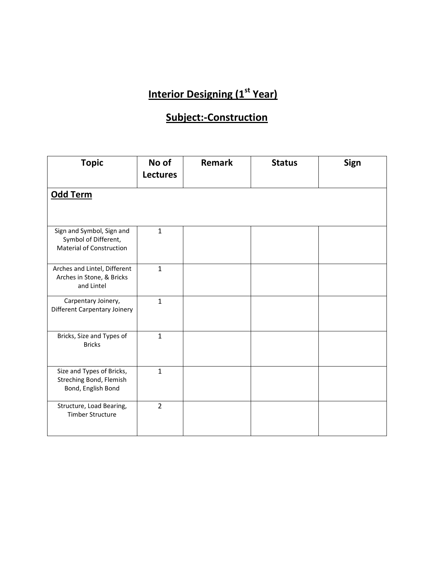### **Subject:-Construction**

| <b>Topic</b>                                                                         | No of<br><b>Lectures</b> | <b>Remark</b> | <b>Status</b> | Sign |
|--------------------------------------------------------------------------------------|--------------------------|---------------|---------------|------|
| Odd Term                                                                             |                          |               |               |      |
| Sign and Symbol, Sign and<br>Symbol of Different,<br><b>Material of Construction</b> | $\mathbf{1}$             |               |               |      |
| Arches and Lintel, Different<br>Arches in Stone, & Bricks<br>and Lintel              | $\mathbf{1}$             |               |               |      |
| Carpentary Joinery,<br>Different Carpentary Joinery                                  | $\mathbf{1}$             |               |               |      |
| Bricks, Size and Types of<br><b>Bricks</b>                                           | $\mathbf{1}$             |               |               |      |
| Size and Types of Bricks,<br>Streching Bond, Flemish<br>Bond, English Bond           | $\mathbf{1}$             |               |               |      |
| Structure, Load Bearing,<br><b>Timber Structure</b>                                  | $\overline{2}$           |               |               |      |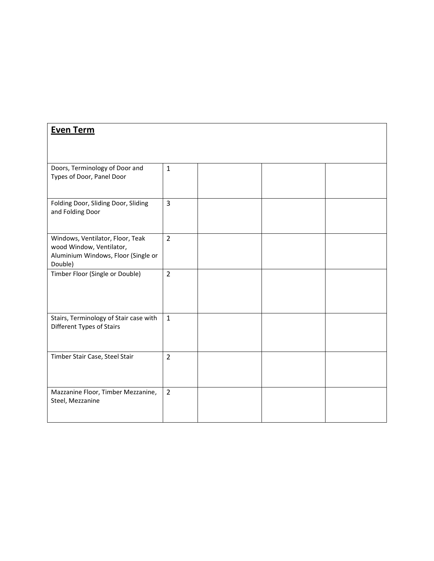| <b>Even Term</b>                                                                                               |                |  |  |
|----------------------------------------------------------------------------------------------------------------|----------------|--|--|
| Doors, Terminology of Door and<br>Types of Door, Panel Door                                                    | $\mathbf{1}$   |  |  |
| Folding Door, Sliding Door, Sliding<br>and Folding Door                                                        | $\overline{3}$ |  |  |
| Windows, Ventilator, Floor, Teak<br>wood Window, Ventilator,<br>Aluminium Windows, Floor (Single or<br>Double) | $\overline{2}$ |  |  |
| Timber Floor (Single or Double)                                                                                | $\overline{2}$ |  |  |
| Stairs, Terminology of Stair case with<br>Different Types of Stairs                                            | $\mathbf{1}$   |  |  |
| Timber Stair Case, Steel Stair                                                                                 | $\overline{2}$ |  |  |
| Mazzanine Floor, Timber Mezzanine,<br>Steel, Mezzanine                                                         | $\overline{2}$ |  |  |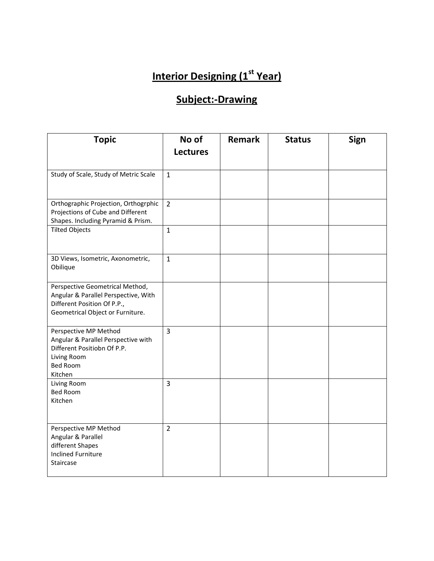### **Subject:-Drawing**

| <b>Topic</b>                                                                                                                               | No of<br><b>Lectures</b> | <b>Remark</b> | <b>Status</b> | Sign |
|--------------------------------------------------------------------------------------------------------------------------------------------|--------------------------|---------------|---------------|------|
| Study of Scale, Study of Metric Scale                                                                                                      | $\mathbf{1}$             |               |               |      |
| Orthographic Projection, Orthogrphic<br>Projections of Cube and Different<br>Shapes. Including Pyramid & Prism.                            | $\overline{2}$           |               |               |      |
| <b>Tilted Objects</b>                                                                                                                      | $\mathbf{1}$             |               |               |      |
| 3D Views, Isometric, Axonometric,<br>Obilique                                                                                              | $\mathbf{1}$             |               |               |      |
| Perspective Geometrical Method,<br>Angular & Parallel Perspective, With<br>Different Position Of P.P.,<br>Geometrical Object or Furniture. |                          |               |               |      |
| Perspective MP Method<br>Angular & Parallel Perspective with<br>Different Positiobn Of P.P.<br>Living Room<br><b>Bed Room</b><br>Kitchen   | $\overline{3}$           |               |               |      |
| Living Room<br><b>Bed Room</b><br>Kitchen                                                                                                  | $\overline{3}$           |               |               |      |
| Perspective MP Method<br>Angular & Parallel<br>different Shapes<br><b>Inclined Furniture</b><br>Staircase                                  | $\overline{2}$           |               |               |      |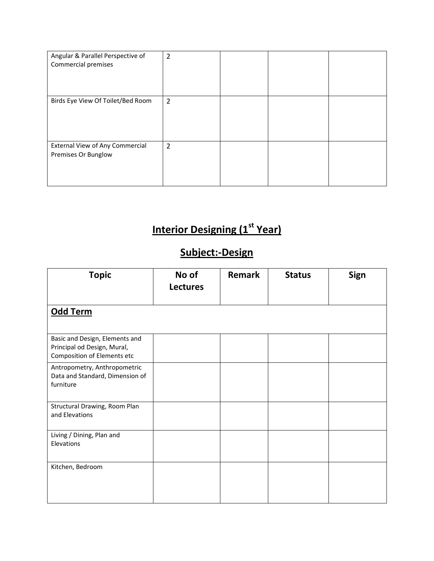| Angular & Parallel Perspective of<br>Commercial premises | $\overline{2}$ |  |  |
|----------------------------------------------------------|----------------|--|--|
| Birds Eye View Of Toilet/Bed Room                        | $\overline{2}$ |  |  |
| External View of Any Commercial<br>Premises Or Bunglow   | 2              |  |  |

# **Subject:-Design**

| <b>Topic</b>                                                                                 | No of<br><b>Lectures</b> | <b>Remark</b> | <b>Status</b> | Sign |
|----------------------------------------------------------------------------------------------|--------------------------|---------------|---------------|------|
| Odd Term                                                                                     |                          |               |               |      |
| Basic and Design, Elements and<br>Principal od Design, Mural,<br>Composition of Elements etc |                          |               |               |      |
| Antropometry, Anthropometric<br>Data and Standard, Dimension of<br>furniture                 |                          |               |               |      |
| Structural Drawing, Room Plan<br>and Elevations                                              |                          |               |               |      |
| Living / Dining, Plan and<br>Elevations                                                      |                          |               |               |      |
| Kitchen, Bedroom                                                                             |                          |               |               |      |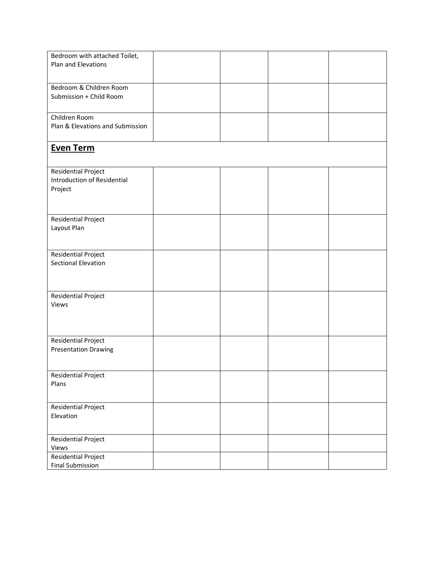| Bedroom with attached Toilet,                             |  |  |
|-----------------------------------------------------------|--|--|
| Plan and Elevations                                       |  |  |
|                                                           |  |  |
| Bedroom & Children Room                                   |  |  |
| Submission + Child Room                                   |  |  |
|                                                           |  |  |
| Children Room                                             |  |  |
| Plan & Elevations and Submission                          |  |  |
|                                                           |  |  |
| <b>Even Term</b>                                          |  |  |
|                                                           |  |  |
|                                                           |  |  |
| <b>Residential Project</b><br>Introduction of Residential |  |  |
| Project                                                   |  |  |
|                                                           |  |  |
|                                                           |  |  |
| Residential Project                                       |  |  |
| Layout Plan                                               |  |  |
|                                                           |  |  |
|                                                           |  |  |
| <b>Residential Project</b>                                |  |  |
| Sectional Elevation                                       |  |  |
|                                                           |  |  |
|                                                           |  |  |
| Residential Project                                       |  |  |
| Views                                                     |  |  |
|                                                           |  |  |
|                                                           |  |  |
|                                                           |  |  |
| Residential Project                                       |  |  |
| <b>Presentation Drawing</b>                               |  |  |
|                                                           |  |  |
| <b>Residential Project</b>                                |  |  |
| Plans                                                     |  |  |
|                                                           |  |  |
|                                                           |  |  |
| Residential Project<br>Elevation                          |  |  |
|                                                           |  |  |
|                                                           |  |  |
| Residential Project                                       |  |  |
| Views                                                     |  |  |
| <b>Residential Project</b>                                |  |  |
| <b>Final Submission</b>                                   |  |  |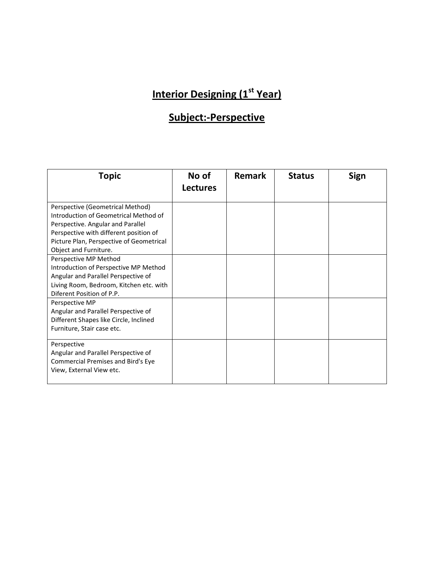### **Subject:-Perspective**

| <b>Topic</b>                                                                                                                                                                                                                  | No of           | <b>Remark</b> | <b>Status</b> | <b>Sign</b> |
|-------------------------------------------------------------------------------------------------------------------------------------------------------------------------------------------------------------------------------|-----------------|---------------|---------------|-------------|
|                                                                                                                                                                                                                               | <b>Lectures</b> |               |               |             |
| Perspective (Geometrical Method)<br>Introduction of Geometrical Method of<br>Perspective. Angular and Parallel<br>Perspective with different position of<br>Picture Plan, Perspective of Geometrical<br>Object and Furniture. |                 |               |               |             |
| Perspective MP Method<br>Introduction of Perspective MP Method<br>Angular and Parallel Perspective of<br>Living Room, Bedroom, Kitchen etc. with<br>Diferent Position of P.P.                                                 |                 |               |               |             |
| Perspective MP<br>Angular and Parallel Perspective of<br>Different Shapes like Circle, Inclined<br>Furniture, Stair case etc.                                                                                                 |                 |               |               |             |
| Perspective<br>Angular and Parallel Perspective of<br>Commercial Premises and Bird's Eye<br>View, External View etc.                                                                                                          |                 |               |               |             |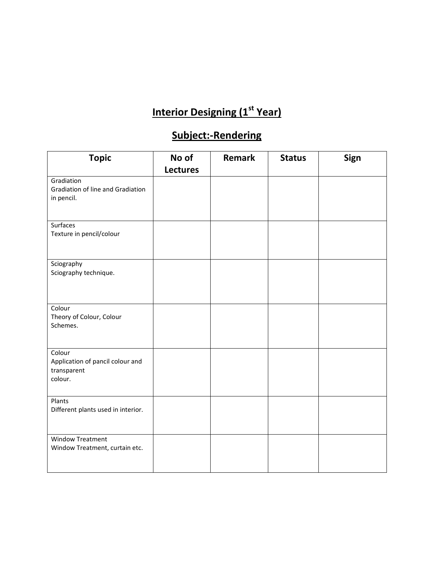### **Subject:-Rendering**

| <b>Topic</b>                                                         | No of           | Remark | <b>Status</b> | Sign |
|----------------------------------------------------------------------|-----------------|--------|---------------|------|
|                                                                      | <b>Lectures</b> |        |               |      |
| Gradiation<br>Gradiation of line and Gradiation<br>in pencil.        |                 |        |               |      |
| Surfaces<br>Texture in pencil/colour                                 |                 |        |               |      |
| Sciography<br>Sciography technique.                                  |                 |        |               |      |
| Colour<br>Theory of Colour, Colour<br>Schemes.                       |                 |        |               |      |
| Colour<br>Application of pancil colour and<br>transparent<br>colour. |                 |        |               |      |
| Plants<br>Different plants used in interior.                         |                 |        |               |      |
| <b>Window Treatment</b><br>Window Treatment, curtain etc.            |                 |        |               |      |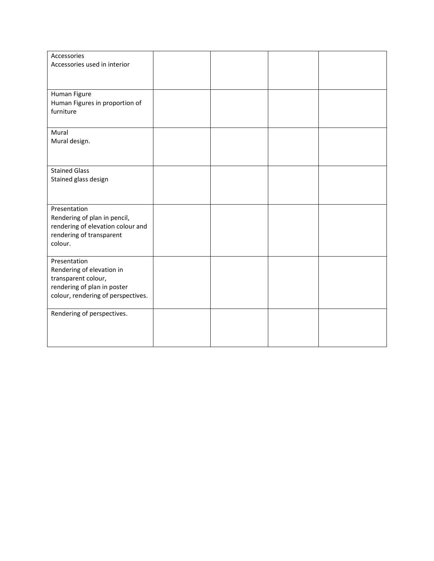| Accessories                        |  |  |
|------------------------------------|--|--|
| Accessories used in interior       |  |  |
|                                    |  |  |
|                                    |  |  |
|                                    |  |  |
| Human Figure                       |  |  |
|                                    |  |  |
| Human Figures in proportion of     |  |  |
| furniture                          |  |  |
|                                    |  |  |
| Mural                              |  |  |
| Mural design.                      |  |  |
|                                    |  |  |
|                                    |  |  |
|                                    |  |  |
| <b>Stained Glass</b>               |  |  |
| Stained glass design               |  |  |
|                                    |  |  |
|                                    |  |  |
|                                    |  |  |
| Presentation                       |  |  |
| Rendering of plan in pencil,       |  |  |
| rendering of elevation colour and  |  |  |
|                                    |  |  |
| rendering of transparent           |  |  |
| colour.                            |  |  |
|                                    |  |  |
| Presentation                       |  |  |
| Rendering of elevation in          |  |  |
| transparent colour,                |  |  |
| rendering of plan in poster        |  |  |
| colour, rendering of perspectives. |  |  |
|                                    |  |  |
|                                    |  |  |
| Rendering of perspectives.         |  |  |
|                                    |  |  |
|                                    |  |  |
|                                    |  |  |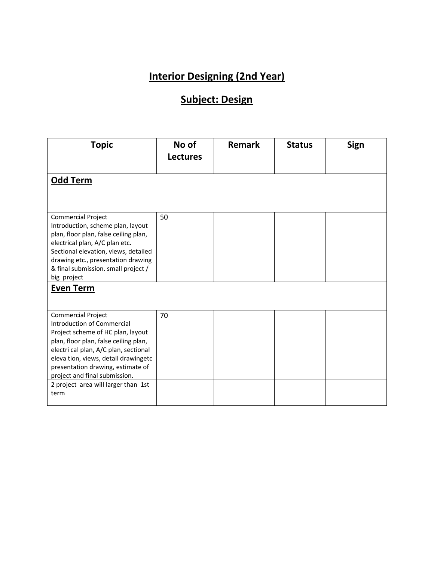#### **Subject: Design**

| <b>Topic</b>                                                                                                                                                                                                                                                                                      | No of<br><b>Lectures</b> | <b>Remark</b> | <b>Status</b> | Sign |
|---------------------------------------------------------------------------------------------------------------------------------------------------------------------------------------------------------------------------------------------------------------------------------------------------|--------------------------|---------------|---------------|------|
| Odd Term                                                                                                                                                                                                                                                                                          |                          |               |               |      |
| <b>Commercial Project</b><br>Introduction, scheme plan, layout<br>plan, floor plan, false ceiling plan,<br>electrical plan, A/C plan etc.<br>Sectional elevation, views, detailed<br>drawing etc., presentation drawing<br>& final submission. small project /<br>big project<br><b>Even Term</b> | 50                       |               |               |      |
|                                                                                                                                                                                                                                                                                                   |                          |               |               |      |
| <b>Commercial Project</b><br>Introduction of Commercial<br>Project scheme of HC plan, layout<br>plan, floor plan, false ceiling plan,<br>electri cal plan, A/C plan, sectional<br>eleva tion, views, detail drawingetc<br>presentation drawing, estimate of<br>project and final submission.      | 70                       |               |               |      |
| 2 project area will larger than 1st<br>term                                                                                                                                                                                                                                                       |                          |               |               |      |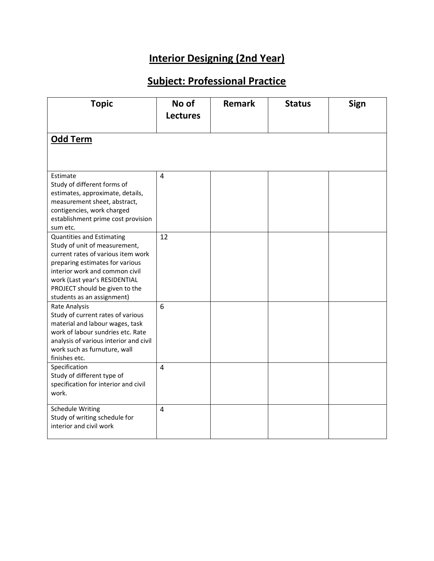### **Subject: Professional Practice**

| <b>Topic</b>                                                                                                                                                                                                                                                                  | No of<br><b>Lectures</b> | <b>Remark</b> | <b>Status</b> | Sign |
|-------------------------------------------------------------------------------------------------------------------------------------------------------------------------------------------------------------------------------------------------------------------------------|--------------------------|---------------|---------------|------|
| <b>Odd Term</b>                                                                                                                                                                                                                                                               |                          |               |               |      |
| Estimate<br>Study of different forms of<br>estimates, approximate, details,<br>measurement sheet, abstract,<br>contigencies, work charged<br>establishment prime cost provision<br>sum etc.                                                                                   | $\overline{4}$           |               |               |      |
| <b>Quantities and Estimating</b><br>Study of unit of measurement,<br>current rates of various item work<br>preparing estimates for various<br>interior work and common civil<br>work (Last year's RESIDENTIAL<br>PROJECT should be given to the<br>students as an assignment) | 12                       |               |               |      |
| Rate Analysis<br>Study of current rates of various<br>material and labour wages, task<br>work of labour sundries etc. Rate<br>analysis of various interior and civil<br>work such as furnuture, wall<br>finishes etc.                                                         | 6                        |               |               |      |
| Specification<br>Study of different type of<br>specification for interior and civil<br>work.                                                                                                                                                                                  | $\overline{4}$           |               |               |      |
| <b>Schedule Writing</b><br>Study of writing schedule for<br>interior and civil work                                                                                                                                                                                           | $\overline{4}$           |               |               |      |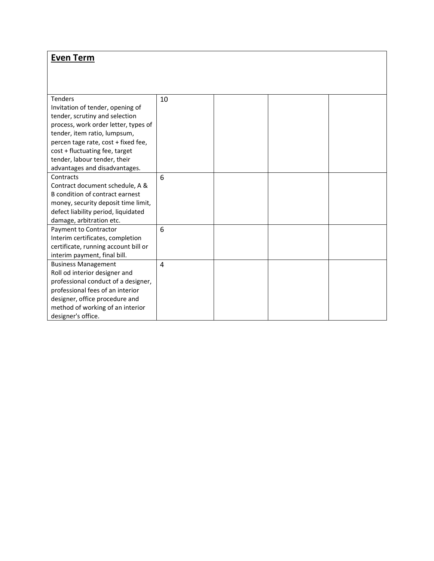#### **Even Term**

| <b>Tenders</b>                       | 10 |  |  |
|--------------------------------------|----|--|--|
| Invitation of tender, opening of     |    |  |  |
| tender, scrutiny and selection       |    |  |  |
| process, work order letter, types of |    |  |  |
| tender, item ratio, lumpsum,         |    |  |  |
| percen tage rate, cost + fixed fee,  |    |  |  |
| cost + fluctuating fee, target       |    |  |  |
| tender, labour tender, their         |    |  |  |
| advantages and disadvantages.        |    |  |  |
| Contracts                            | 6  |  |  |
| Contract document schedule, A &      |    |  |  |
| B condition of contract earnest      |    |  |  |
| money, security deposit time limit,  |    |  |  |
| defect liability period, liquidated  |    |  |  |
| damage, arbitration etc.             |    |  |  |
| Payment to Contractor                | 6  |  |  |
| Interim certificates, completion     |    |  |  |
| certificate, running account bill or |    |  |  |
| interim payment, final bill.         |    |  |  |
| <b>Business Management</b>           | 4  |  |  |
| Roll od interior designer and        |    |  |  |
| professional conduct of a designer,  |    |  |  |
| professional fees of an interior     |    |  |  |
| designer, office procedure and       |    |  |  |
| method of working of an interior     |    |  |  |
| designer's office.                   |    |  |  |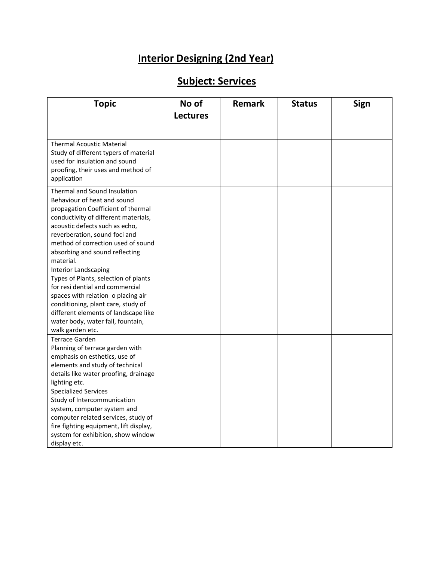### **Subject: Services**

| <b>Topic</b>                                                                 | No of           | <b>Remark</b> | <b>Status</b> | <b>Sign</b> |
|------------------------------------------------------------------------------|-----------------|---------------|---------------|-------------|
|                                                                              | <b>Lectures</b> |               |               |             |
|                                                                              |                 |               |               |             |
|                                                                              |                 |               |               |             |
| <b>Thermal Acoustic Material</b>                                             |                 |               |               |             |
| Study of different typers of material                                        |                 |               |               |             |
| used for insulation and sound                                                |                 |               |               |             |
| proofing, their uses and method of                                           |                 |               |               |             |
| application                                                                  |                 |               |               |             |
| Thermal and Sound Insulation                                                 |                 |               |               |             |
| Behaviour of heat and sound                                                  |                 |               |               |             |
| propagation Coefficient of thermal                                           |                 |               |               |             |
| conductivity of different materials,                                         |                 |               |               |             |
| acoustic defects such as echo,                                               |                 |               |               |             |
| reverberation, sound foci and                                                |                 |               |               |             |
| method of correction used of sound                                           |                 |               |               |             |
| absorbing and sound reflecting<br>material.                                  |                 |               |               |             |
| <b>Interior Landscaping</b>                                                  |                 |               |               |             |
| Types of Plants, selection of plants                                         |                 |               |               |             |
| for resi dential and commercial                                              |                 |               |               |             |
| spaces with relation o placing air                                           |                 |               |               |             |
| conditioning, plant care, study of                                           |                 |               |               |             |
| different elements of landscape like                                         |                 |               |               |             |
| water body, water fall, fountain,                                            |                 |               |               |             |
| walk garden etc.                                                             |                 |               |               |             |
| <b>Terrace Garden</b>                                                        |                 |               |               |             |
| Planning of terrace garden with                                              |                 |               |               |             |
| emphasis on esthetics, use of                                                |                 |               |               |             |
| elements and study of technical                                              |                 |               |               |             |
| details like water proofing, drainage                                        |                 |               |               |             |
| lighting etc.                                                                |                 |               |               |             |
| <b>Specialized Services</b>                                                  |                 |               |               |             |
| Study of Intercommunication                                                  |                 |               |               |             |
| system, computer system and                                                  |                 |               |               |             |
| computer related services, study of                                          |                 |               |               |             |
| fire fighting equipment, lift display,<br>system for exhibition, show window |                 |               |               |             |
| display etc.                                                                 |                 |               |               |             |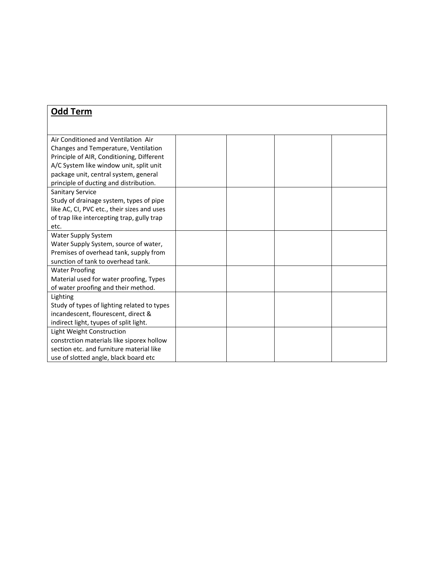| <b>Odd Term</b>                             |  |  |
|---------------------------------------------|--|--|
|                                             |  |  |
|                                             |  |  |
| Air Conditioned and Ventilation Air         |  |  |
| Changes and Temperature, Ventilation        |  |  |
| Principle of AIR, Conditioning, Different   |  |  |
| A/C System like window unit, split unit     |  |  |
| package unit, central system, general       |  |  |
| principle of ducting and distribution.      |  |  |
| Sanitary Service                            |  |  |
| Study of drainage system, types of pipe     |  |  |
| like AC, CI, PVC etc., their sizes and uses |  |  |
| of trap like intercepting trap, gully trap  |  |  |
| etc.                                        |  |  |
| Water Supply System                         |  |  |
| Water Supply System, source of water,       |  |  |
| Premises of overhead tank, supply from      |  |  |
| sunction of tank to overhead tank.          |  |  |
| <b>Water Proofing</b>                       |  |  |
| Material used for water proofing, Types     |  |  |
| of water proofing and their method.         |  |  |
| Lighting                                    |  |  |
| Study of types of lighting related to types |  |  |
| incandescent, flourescent, direct &         |  |  |
| indirect light, tyupes of split light.      |  |  |
| Light Weight Construction                   |  |  |
| constrction materials like siporex hollow   |  |  |
| section etc. and furniture material like    |  |  |
| use of slotted angle, black board etc       |  |  |